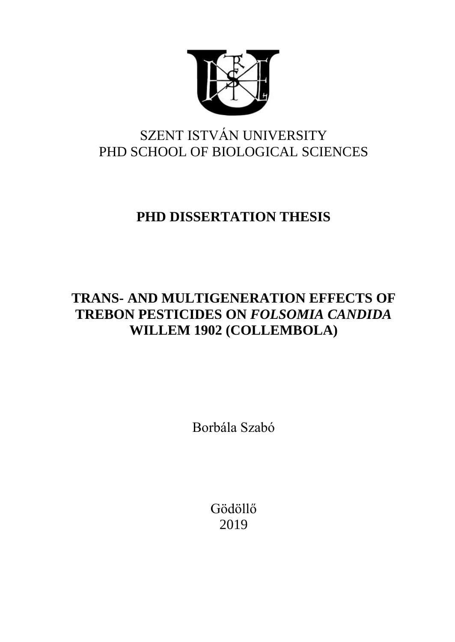

# SZENT ISTVÁN UNIVERSITY PHD SCHOOL OF BIOLOGICAL SCIENCES

# **PHD DISSERTATION THESIS**

# **TRANS- AND MULTIGENERATION EFFECTS OF TREBON PESTICIDES ON** *FOLSOMIA CANDIDA* **WILLEM 1902 (COLLEMBOLA)**

Borbála Szabó

Gödöllő 2019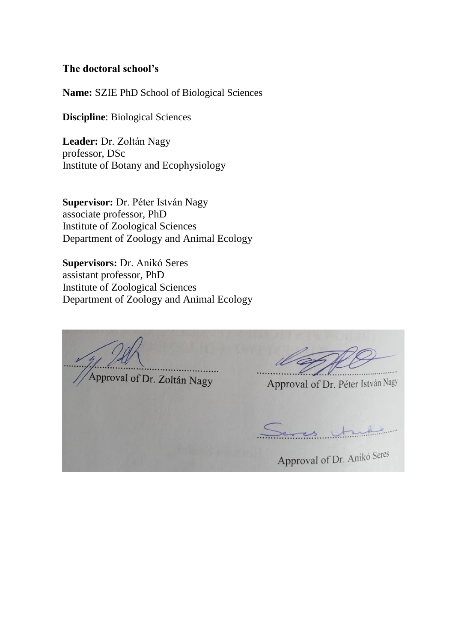## **The doctoral school's**

**Name:** SZIE PhD School of Biological Sciences

**Discipline**: Biological Sciences

**Leader:** Dr. Zoltán Nagy professor, DSc Institute of Botany and Ecophysiology

**Supervisor:** Dr. Péter István Nagy associate professor, PhD Institute of Zoological Sciences Department of Zoology and Animal Ecology

**Supervisors:** Dr. Anikó Seres assistant professor, PhD Institute of Zoological Sciences Department of Zoology and Animal Ecology

Approval of Dr. Zoltán Nagy Approval of Dr. Péter István Nagy Approval of Dr. Anikó Seres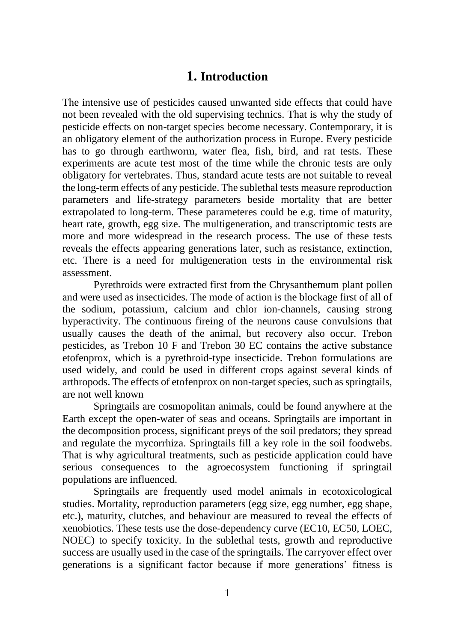# **1. Introduction**

The intensive use of pesticides caused unwanted side effects that could have not been revealed with the old supervising technics. That is why the study of pesticide effects on non-target species become necessary. Contemporary, it is an obligatory element of the authorization process in Europe. Every pesticide has to go through earthworm, water flea, fish, bird, and rat tests. These experiments are acute test most of the time while the chronic tests are only obligatory for vertebrates. Thus, standard acute tests are not suitable to reveal the long-term effects of any pesticide. The sublethal tests measure reproduction parameters and life-strategy parameters beside mortality that are better extrapolated to long-term. These parameteres could be e.g. time of maturity, heart rate, growth, egg size. The multigeneration, and transcriptomic tests are more and more widespread in the research process. The use of these tests reveals the effects appearing generations later, such as resistance, extinction, etc. There is a need for multigeneration tests in the environmental risk assessment.

Pyrethroids were extracted first from the Chrysanthemum plant pollen and were used as insecticides. The mode of action is the blockage first of all of the sodium, potassium, calcium and chlor ion-channels, causing strong hyperactivity. The continuous fireing of the neurons cause convulsions that usually causes the death of the animal, but recovery also occur. Trebon pesticides, as Trebon 10 F and Trebon 30 EC contains the active substance etofenprox, which is a pyrethroid-type insecticide. Trebon formulations are used widely, and could be used in different crops against several kinds of arthropods. The effects of etofenprox on non-target species, such as springtails, are not well known

Springtails are cosmopolitan animals, could be found anywhere at the Earth except the open-water of seas and oceans. Springtails are important in the decomposition process, significant preys of the soil predators; they spread and regulate the mycorrhiza. Springtails fill a key role in the soil foodwebs. That is why agricultural treatments, such as pesticide application could have serious consequences to the agroecosystem functioning if springtail populations are influenced.

Springtails are frequently used model animals in ecotoxicological studies. Mortality, reproduction parameters (egg size, egg number, egg shape, etc.), maturity, clutches, and behaviour are measured to reveal the effects of xenobiotics. These tests use the dose-dependency curve (EC10, EC50, LOEC, NOEC) to specify toxicity. In the sublethal tests, growth and reproductive success are usually used in the case of the springtails. The carryover effect over generations is a significant factor because if more generations' fitness is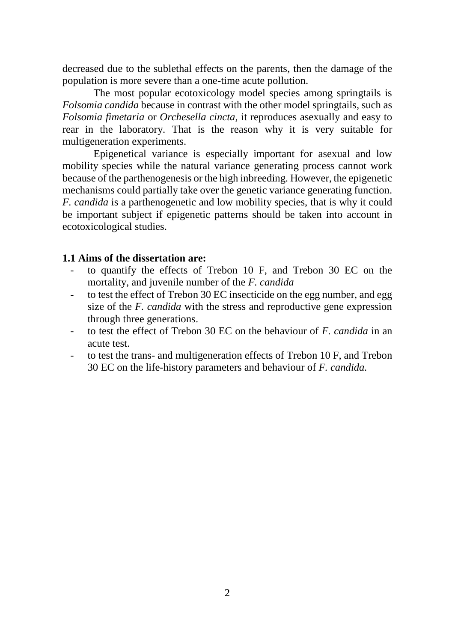decreased due to the sublethal effects on the parents, then the damage of the population is more severe than a one-time acute pollution.

The most popular ecotoxicology model species among springtails is *Folsomia candida* because in contrast with the other model springtails, such as *Folsomia fimetaria* or *Orchesella cincta,* it reproduces asexually and easy to rear in the laboratory. That is the reason why it is very suitable for multigeneration experiments.

Epigenetical variance is especially important for asexual and low mobility species while the natural variance generating process cannot work because of the parthenogenesis or the high inbreeding. However, the epigenetic mechanisms could partially take over the genetic variance generating function. *F. candida* is a parthenogenetic and low mobility species, that is why it could be important subject if epigenetic patterns should be taken into account in ecotoxicological studies.

## **1.1 Aims of the dissertation are:**

- to quantify the effects of Trebon 10 F, and Trebon 30 EC on the mortality, and juvenile number of the *F. candida*
- to test the effect of Trebon 30 EC insecticide on the egg number, and egg size of the *F. candida* with the stress and reproductive gene expression through three generations.
- to test the effect of Trebon 30 EC on the behaviour of *F. candida* in an acute test.
- to test the trans- and multigeneration effects of Trebon 10 F, and Trebon 30 EC on the life-history parameters and behaviour of *F. candida.*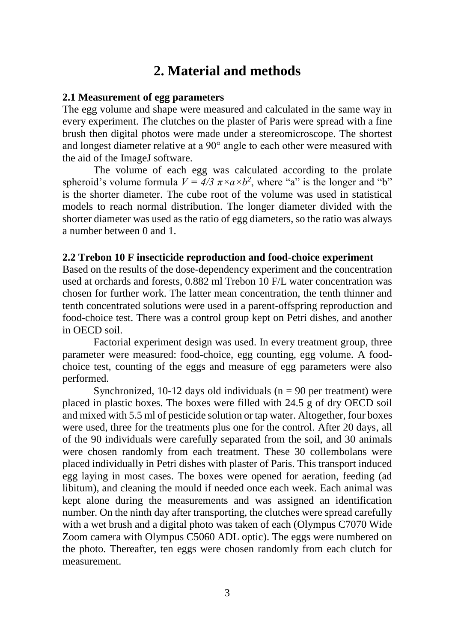# **2. Material and methods**

#### **2.1 Measurement of egg parameters**

The egg volume and shape were measured and calculated in the same way in every experiment. The clutches on the plaster of Paris were spread with a fine brush then digital photos were made under a stereomicroscope. The shortest and longest diameter relative at a 90° angle to each other were measured with the aid of the ImageJ software.

The volume of each egg was calculated according to the prolate spheroid's volume formula  $V = 4/3 \pi \times a \times b^2$ , where "a" is the longer and "b" is the shorter diameter. The cube root of the volume was used in statistical models to reach normal distribution. The longer diameter divided with the shorter diameter was used as the ratio of egg diameters, so the ratio was always a number between 0 and 1.

#### **2.2 Trebon 10 F insecticide reproduction and food-choice experiment**

Based on the results of the dose-dependency experiment and the concentration used at orchards and forests, 0.882 ml Trebon 10 F/L water concentration was chosen for further work. The latter mean concentration, the tenth thinner and tenth concentrated solutions were used in a parent-offspring reproduction and food-choice test. There was a control group kept on Petri dishes, and another in OECD soil.

Factorial experiment design was used. In every treatment group, three parameter were measured: food-choice, egg counting, egg volume. A foodchoice test, counting of the eggs and measure of egg parameters were also performed.

Synchronized,  $10-12$  days old individuals ( $n = 90$  per treatment) were placed in plastic boxes. The boxes were filled with 24.5 g of dry OECD soil and mixed with 5.5 ml of pesticide solution or tap water. Altogether, four boxes were used, three for the treatments plus one for the control. After 20 days, all of the 90 individuals were carefully separated from the soil, and 30 animals were chosen randomly from each treatment. These 30 collembolans were placed individually in Petri dishes with plaster of Paris. This transport induced egg laying in most cases. The boxes were opened for aeration, feeding (ad libitum), and cleaning the mould if needed once each week. Each animal was kept alone during the measurements and was assigned an identification number. On the ninth day after transporting, the clutches were spread carefully with a wet brush and a digital photo was taken of each (Olympus C7070 Wide Zoom camera with Olympus C5060 ADL optic). The eggs were numbered on the photo. Thereafter, ten eggs were chosen randomly from each clutch for measurement.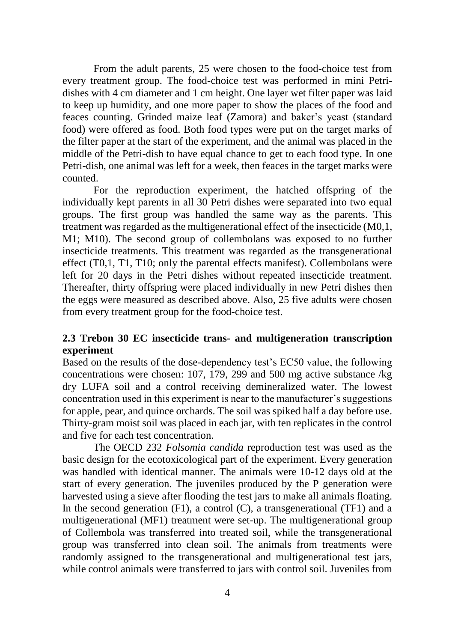From the adult parents, 25 were chosen to the food-choice test from every treatment group. The food-choice test was performed in mini Petridishes with 4 cm diameter and 1 cm height. One layer wet filter paper was laid to keep up humidity, and one more paper to show the places of the food and feaces counting. Grinded maize leaf (Zamora) and baker's yeast (standard food) were offered as food. Both food types were put on the target marks of the filter paper at the start of the experiment, and the animal was placed in the middle of the Petri-dish to have equal chance to get to each food type. In one Petri-dish, one animal was left for a week, then feaces in the target marks were counted.

For the reproduction experiment, the hatched offspring of the individually kept parents in all 30 Petri dishes were separated into two equal groups. The first group was handled the same way as the parents. This treatment was regarded as the multigenerational effect of the insecticide (M0,1, M1; M10). The second group of collembolans was exposed to no further insecticide treatments. This treatment was regarded as the transgenerational effect (T0,1, T1, T10; only the parental effects manifest). Collembolans were left for 20 days in the Petri dishes without repeated insecticide treatment. Thereafter, thirty offspring were placed individually in new Petri dishes then the eggs were measured as described above. Also, 25 five adults were chosen from every treatment group for the food-choice test.

# **2.3 Trebon 30 EC insecticide trans- and multigeneration transcription experiment**

Based on the results of the dose-dependency test's EC50 value, the following concentrations were chosen: 107, 179, 299 and 500 mg active substance /kg dry LUFA soil and a control receiving demineralized water. The lowest concentration used in this experiment is near to the manufacturer's suggestions for apple, pear, and quince orchards. The soil was spiked half a day before use. Thirty-gram moist soil was placed in each jar, with ten replicates in the control and five for each test concentration.

The OECD 232 *Folsomia candida* reproduction test was used as the basic design for the ecotoxicological part of the experiment. Every generation was handled with identical manner. The animals were 10-12 days old at the start of every generation. The juveniles produced by the P generation were harvested using a sieve after flooding the test jars to make all animals floating. In the second generation  $(F1)$ , a control  $(C)$ , a transgenerational  $(TF1)$  and a multigenerational (MF1) treatment were set-up. The multigenerational group of Collembola was transferred into treated soil, while the transgenerational group was transferred into clean soil. The animals from treatments were randomly assigned to the transgenerational and multigenerational test jars, while control animals were transferred to jars with control soil. Juveniles from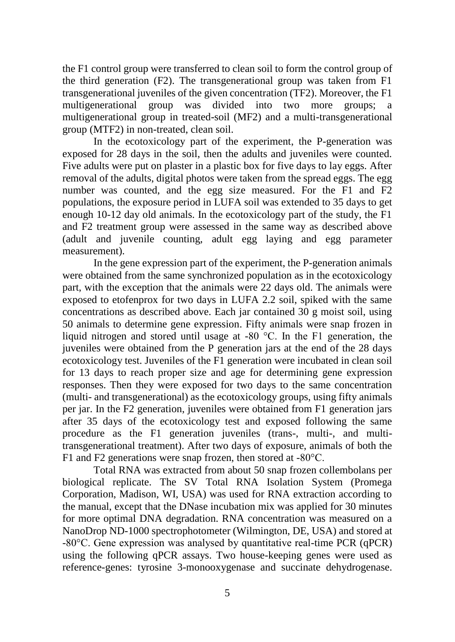the F1 control group were transferred to clean soil to form the control group of the third generation (F2). The transgenerational group was taken from F1 transgenerational juveniles of the given concentration (TF2). Moreover, the F1 multigenerational group was divided into two more groups; a multigenerational group in treated-soil (MF2) and a multi-transgenerational group (MTF2) in non-treated, clean soil.

In the ecotoxicology part of the experiment, the P-generation was exposed for 28 days in the soil, then the adults and juveniles were counted. Five adults were put on plaster in a plastic box for five days to lay eggs. After removal of the adults, digital photos were taken from the spread eggs. The egg number was counted, and the egg size measured. For the F1 and F2 populations, the exposure period in LUFA soil was extended to 35 days to get enough 10-12 day old animals. In the ecotoxicology part of the study, the F1 and F2 treatment group were assessed in the same way as described above (adult and juvenile counting, adult egg laying and egg parameter measurement).

In the gene expression part of the experiment, the P-generation animals were obtained from the same synchronized population as in the ecotoxicology part, with the exception that the animals were 22 days old. The animals were exposed to etofenprox for two days in LUFA 2.2 soil, spiked with the same concentrations as described above. Each jar contained 30 g moist soil, using 50 animals to determine gene expression. Fifty animals were snap frozen in liquid nitrogen and stored until usage at -80 °C. In the F1 generation, the juveniles were obtained from the P generation jars at the end of the 28 days ecotoxicology test. Juveniles of the F1 generation were incubated in clean soil for 13 days to reach proper size and age for determining gene expression responses. Then they were exposed for two days to the same concentration (multi- and transgenerational) as the ecotoxicology groups, using fifty animals per jar. In the F2 generation, juveniles were obtained from F1 generation jars after 35 days of the ecotoxicology test and exposed following the same procedure as the F1 generation juveniles (trans-, multi-, and multitransgenerational treatment). After two days of exposure, animals of both the F1 and F2 generations were snap frozen, then stored at -80°C.

Total RNA was extracted from about 50 snap frozen collembolans per biological replicate. The SV Total RNA Isolation System (Promega Corporation, Madison, WI, USA) was used for RNA extraction according to the manual, except that the DNase incubation mix was applied for 30 minutes for more optimal DNA degradation. RNA concentration was measured on a NanoDrop ND-1000 spectrophotometer (Wilmington, DE, USA) and stored at -80°C. Gene expression was analysed by quantitative real-time PCR (qPCR) using the following qPCR assays. Two house-keeping genes were used as reference-genes: tyrosine 3-monooxygenase and succinate dehydrogenase.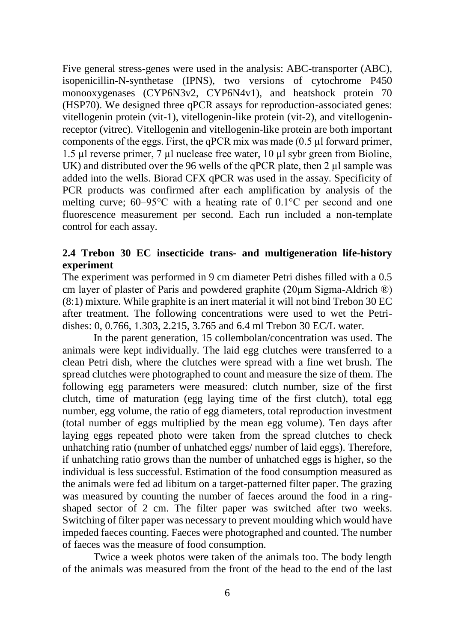Five general stress-genes were used in the analysis: ABC-transporter (ABC), isopenicillin-N-synthetase (IPNS), two versions of cytochrome P450 monooxygenases (CYP6N3v2, CYP6N4v1), and heatshock protein 70 (HSP70). We designed three qPCR assays for reproduction-associated genes: vitellogenin protein (vit-1), vitellogenin-like protein (vit-2), and vitellogeninreceptor (vitrec). Vitellogenin and vitellogenin-like protein are both important components of the eggs. First, the qPCR mix was made  $(0.5 \mu)$  forward primer, 1.5 µl reverse primer, 7 µl nuclease free water, 10 µl sybr green from Bioline, UK) and distributed over the 96 wells of the qPCR plate, then 2 µl sample was added into the wells. Biorad CFX qPCR was used in the assay. Specificity of PCR products was confirmed after each amplification by analysis of the melting curve; 60–95°C with a heating rate of 0.1°C per second and one fluorescence measurement per second. Each run included a non-template control for each assay.

# **2.4 Trebon 30 EC insecticide trans- and multigeneration life-history experiment**

The experiment was performed in 9 cm diameter Petri dishes filled with a 0.5 cm layer of plaster of Paris and powdered graphite (20µm Sigma-Aldrich ®) (8:1) mixture. While graphite is an inert material it will not bind Trebon 30 EC after treatment. The following concentrations were used to wet the Petridishes: 0, 0.766, 1.303, 2.215, 3.765 and 6.4 ml Trebon 30 EC/L water.

In the parent generation, 15 collembolan/concentration was used. The animals were kept individually. The laid egg clutches were transferred to a clean Petri dish, where the clutches were spread with a fine wet brush. The spread clutches were photographed to count and measure the size of them. The following egg parameters were measured: clutch number, size of the first clutch, time of maturation (egg laying time of the first clutch), total egg number, egg volume, the ratio of egg diameters, total reproduction investment (total number of eggs multiplied by the mean egg volume). Ten days after laying eggs repeated photo were taken from the spread clutches to check unhatching ratio (number of unhatched eggs/ number of laid eggs). Therefore, if unhatching ratio grows than the number of unhatched eggs is higher, so the individual is less successful. Estimation of the food consumption measured as the animals were fed ad libitum on a target-patterned filter paper. The grazing was measured by counting the number of faeces around the food in a ringshaped sector of 2 cm. The filter paper was switched after two weeks. Switching of filter paper was necessary to prevent moulding which would have impeded faeces counting. Faeces were photographed and counted. The number of faeces was the measure of food consumption.

Twice a week photos were taken of the animals too. The body length of the animals was measured from the front of the head to the end of the last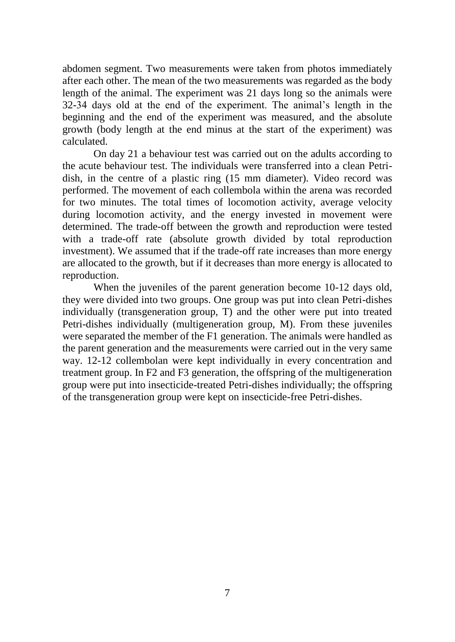abdomen segment. Two measurements were taken from photos immediately after each other. The mean of the two measurements was regarded as the body length of the animal. The experiment was 21 days long so the animals were 32-34 days old at the end of the experiment. The animal's length in the beginning and the end of the experiment was measured, and the absolute growth (body length at the end minus at the start of the experiment) was calculated.

On day 21 a behaviour test was carried out on the adults according to the acute behaviour test. The individuals were transferred into a clean Petridish, in the centre of a plastic ring (15 mm diameter). Video record was performed. The movement of each collembola within the arena was recorded for two minutes. The total times of locomotion activity, average velocity during locomotion activity, and the energy invested in movement were determined. The trade-off between the growth and reproduction were tested with a trade-off rate (absolute growth divided by total reproduction investment). We assumed that if the trade-off rate increases than more energy are allocated to the growth, but if it decreases than more energy is allocated to reproduction.

When the juveniles of the parent generation become 10-12 days old, they were divided into two groups. One group was put into clean Petri-dishes individually (transgeneration group, T) and the other were put into treated Petri-dishes individually (multigeneration group, M). From these juveniles were separated the member of the F1 generation. The animals were handled as the parent generation and the measurements were carried out in the very same way. 12-12 collembolan were kept individually in every concentration and treatment group. In F2 and F3 generation, the offspring of the multigeneration group were put into insecticide-treated Petri-dishes individually; the offspring of the transgeneration group were kept on insecticide-free Petri-dishes.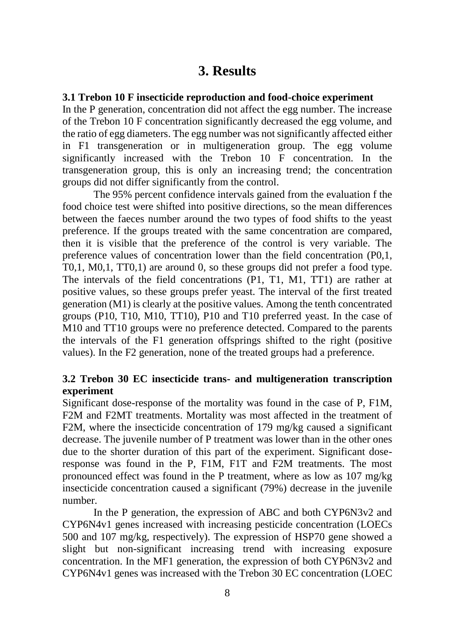# **3. Results**

### **3.1 Trebon 10 F insecticide reproduction and food-choice experiment**

In the P generation, concentration did not affect the egg number. The increase of the Trebon 10 F concentration significantly decreased the egg volume, and the ratio of egg diameters. The egg number was not significantly affected either in F1 transgeneration or in multigeneration group. The egg volume significantly increased with the Trebon 10 F concentration. In the transgeneration group, this is only an increasing trend; the concentration groups did not differ significantly from the control.

The 95% percent confidence intervals gained from the evaluation f the food choice test were shifted into positive directions, so the mean differences between the faeces number around the two types of food shifts to the yeast preference. If the groups treated with the same concentration are compared, then it is visible that the preference of the control is very variable. The preference values of concentration lower than the field concentration (P0,1, T0,1, M0,1, TT0,1) are around 0, so these groups did not prefer a food type. The intervals of the field concentrations (P1, T1, M1, TT1) are rather at positive values, so these groups prefer yeast. The interval of the first treated generation (M1) is clearly at the positive values. Among the tenth concentrated groups (P10, T10, M10, TT10), P10 and T10 preferred yeast. In the case of M10 and TT10 groups were no preference detected. Compared to the parents the intervals of the F1 generation offsprings shifted to the right (positive values). In the F2 generation, none of the treated groups had a preference.

## **3.2 Trebon 30 EC insecticide trans- and multigeneration transcription experiment**

Significant dose-response of the mortality was found in the case of P, F1M, F2M and F2MT treatments. Mortality was most affected in the treatment of F2M, where the insecticide concentration of 179 mg/kg caused a significant decrease. The juvenile number of P treatment was lower than in the other ones due to the shorter duration of this part of the experiment. Significant doseresponse was found in the P, F1M, F1T and F2M treatments. The most pronounced effect was found in the P treatment, where as low as 107 mg/kg insecticide concentration caused a significant (79%) decrease in the juvenile number.

In the P generation, the expression of ABC and both CYP6N3v2 and CYP6N4v1 genes increased with increasing pesticide concentration (LOECs 500 and 107 mg/kg, respectively). The expression of HSP70 gene showed a slight but non-significant increasing trend with increasing exposure concentration. In the MF1 generation, the expression of both CYP6N3v2 and CYP6N4v1 genes was increased with the Trebon 30 EC concentration (LOEC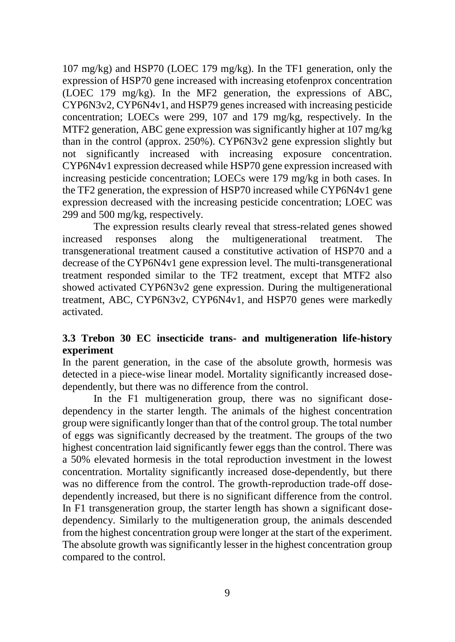107 mg/kg) and HSP70 (LOEC 179 mg/kg). In the TF1 generation, only the expression of HSP70 gene increased with increasing etofenprox concentration (LOEC 179 mg/kg). In the MF2 generation, the expressions of ABC, CYP6N3v2, CYP6N4v1, and HSP79 genes increased with increasing pesticide concentration; LOECs were 299, 107 and 179 mg/kg, respectively. In the MTF2 generation, ABC gene expression was significantly higher at 107 mg/kg than in the control (approx. 250%). CYP6N3v2 gene expression slightly but not significantly increased with increasing exposure concentration. CYP6N4v1 expression decreased while HSP70 gene expression increased with increasing pesticide concentration; LOECs were 179 mg/kg in both cases. In the TF2 generation, the expression of HSP70 increased while CYP6N4v1 gene expression decreased with the increasing pesticide concentration; LOEC was 299 and 500 mg/kg, respectively.

The expression results clearly reveal that stress-related genes showed increased responses along the multigenerational treatment. The transgenerational treatment caused a constitutive activation of HSP70 and a decrease of the CYP6N4v1 gene expression level. The multi-transgenerational treatment responded similar to the TF2 treatment, except that MTF2 also showed activated CYP6N3v2 gene expression. During the multigenerational treatment, ABC, CYP6N3v2, CYP6N4v1, and HSP70 genes were markedly activated.

# **3.3 Trebon 30 EC insecticide trans- and multigeneration life-history experiment**

In the parent generation, in the case of the absolute growth, hormesis was detected in a piece-wise linear model. Mortality significantly increased dosedependently, but there was no difference from the control.

In the F1 multigeneration group, there was no significant dosedependency in the starter length. The animals of the highest concentration group were significantly longer than that of the control group. The total number of eggs was significantly decreased by the treatment. The groups of the two highest concentration laid significantly fewer eggs than the control. There was a 50% elevated hormesis in the total reproduction investment in the lowest concentration. Mortality significantly increased dose-dependently, but there was no difference from the control. The growth-reproduction trade-off dosedependently increased, but there is no significant difference from the control. In F1 transgeneration group, the starter length has shown a significant dosedependency. Similarly to the multigeneration group, the animals descended from the highest concentration group were longer at the start of the experiment. The absolute growth was significantly lesser in the highest concentration group compared to the control.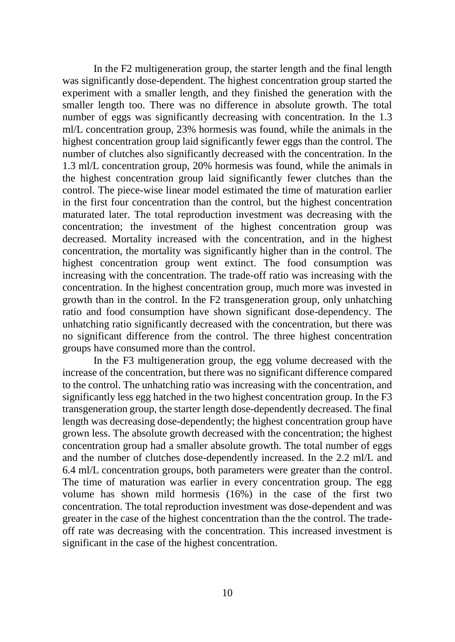In the F2 multigeneration group, the starter length and the final length was significantly dose-dependent. The highest concentration group started the experiment with a smaller length, and they finished the generation with the smaller length too. There was no difference in absolute growth. The total number of eggs was significantly decreasing with concentration. In the 1.3 ml/L concentration group, 23% hormesis was found, while the animals in the highest concentration group laid significantly fewer eggs than the control. The number of clutches also significantly decreased with the concentration. In the 1.3 ml/L concentration group, 20% hormesis was found, while the animals in the highest concentration group laid significantly fewer clutches than the control. The piece-wise linear model estimated the time of maturation earlier in the first four concentration than the control, but the highest concentration maturated later. The total reproduction investment was decreasing with the concentration; the investment of the highest concentration group was decreased. Mortality increased with the concentration, and in the highest concentration, the mortality was significantly higher than in the control. The highest concentration group went extinct. The food consumption was increasing with the concentration. The trade-off ratio was increasing with the concentration. In the highest concentration group, much more was invested in growth than in the control. In the F2 transgeneration group, only unhatching ratio and food consumption have shown significant dose-dependency. The unhatching ratio significantly decreased with the concentration, but there was no significant difference from the control. The three highest concentration groups have consumed more than the control.

In the F3 multigeneration group, the egg volume decreased with the increase of the concentration, but there was no significant difference compared to the control. The unhatching ratio was increasing with the concentration, and significantly less egg hatched in the two highest concentration group. In the F3 transgeneration group, the starter length dose-dependently decreased. The final length was decreasing dose-dependently; the highest concentration group have grown less. The absolute growth decreased with the concentration; the highest concentration group had a smaller absolute growth. The total number of eggs and the number of clutches dose-dependently increased. In the 2.2 ml/L and 6.4 ml/L concentration groups, both parameters were greater than the control. The time of maturation was earlier in every concentration group. The egg volume has shown mild hormesis (16%) in the case of the first two concentration. The total reproduction investment was dose-dependent and was greater in the case of the highest concentration than the the control. The tradeoff rate was decreasing with the concentration. This increased investment is significant in the case of the highest concentration.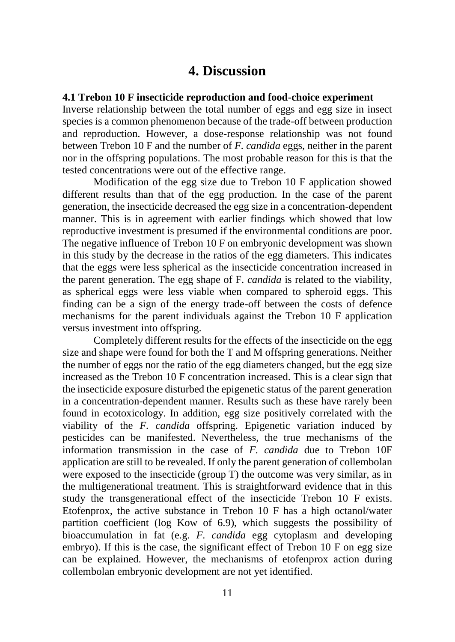# **4. Discussion**

#### **4.1 Trebon 10 F insecticide reproduction and food-choice experiment**

Inverse relationship between the total number of eggs and egg size in insect species is a common phenomenon because of the trade-off between production and reproduction. However, a dose-response relationship was not found between Trebon 10 F and the number of *F. candida* eggs, neither in the parent nor in the offspring populations. The most probable reason for this is that the tested concentrations were out of the effective range.

Modification of the egg size due to Trebon 10 F application showed different results than that of the egg production. In the case of the parent generation, the insecticide decreased the egg size in a concentration-dependent manner. This is in agreement with earlier findings which showed that low reproductive investment is presumed if the environmental conditions are poor. The negative influence of Trebon 10 F on embryonic development was shown in this study by the decrease in the ratios of the egg diameters. This indicates that the eggs were less spherical as the insecticide concentration increased in the parent generation. The egg shape of F. *candida* is related to the viability, as spherical eggs were less viable when compared to spheroid eggs. This finding can be a sign of the energy trade-off between the costs of defence mechanisms for the parent individuals against the Trebon 10 F application versus investment into offspring.

Completely different results for the effects of the insecticide on the egg size and shape were found for both the T and M offspring generations. Neither the number of eggs nor the ratio of the egg diameters changed, but the egg size increased as the Trebon 10 F concentration increased. This is a clear sign that the insecticide exposure disturbed the epigenetic status of the parent generation in a concentration-dependent manner. Results such as these have rarely been found in ecotoxicology. In addition, egg size positively correlated with the viability of the *F. candida* offspring. Epigenetic variation induced by pesticides can be manifested. Nevertheless, the true mechanisms of the information transmission in the case of *F. candida* due to Trebon 10F application are still to be revealed. If only the parent generation of collembolan were exposed to the insecticide (group T) the outcome was very similar, as in the multigenerational treatment. This is straightforward evidence that in this study the transgenerational effect of the insecticide Trebon 10 F exists. Etofenprox, the active substance in Trebon 10 F has a high octanol/water partition coefficient (log Kow of 6.9), which suggests the possibility of bioaccumulation in fat (e.g. *F. candida* egg cytoplasm and developing embryo). If this is the case, the significant effect of Trebon 10 F on egg size can be explained. However, the mechanisms of etofenprox action during collembolan embryonic development are not yet identified.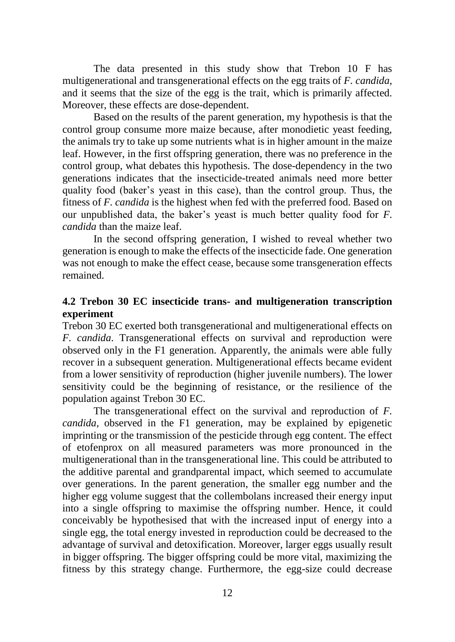The data presented in this study show that Trebon 10 F has multigenerational and transgenerational effects on the egg traits of *F. candida*, and it seems that the size of the egg is the trait, which is primarily affected. Moreover, these effects are dose-dependent.

Based on the results of the parent generation, my hypothesis is that the control group consume more maize because, after monodietic yeast feeding, the animals try to take up some nutrients what is in higher amount in the maize leaf. However, in the first offspring generation, there was no preference in the control group, what debates this hypothesis. The dose-dependency in the two generations indicates that the insecticide-treated animals need more better quality food (baker's yeast in this case), than the control group. Thus, the fitness of *F. candida* is the highest when fed with the preferred food. Based on our unpublished data, the baker's yeast is much better quality food for *F. candida* than the maize leaf.

In the second offspring generation, I wished to reveal whether two generation is enough to make the effects of the insecticide fade. One generation was not enough to make the effect cease, because some transgeneration effects remained.

## **4.2 Trebon 30 EC insecticide trans- and multigeneration transcription experiment**

Trebon 30 EC exerted both transgenerational and multigenerational effects on *F. candida*. Transgenerational effects on survival and reproduction were observed only in the F1 generation. Apparently, the animals were able fully recover in a subsequent generation. Multigenerational effects became evident from a lower sensitivity of reproduction (higher juvenile numbers). The lower sensitivity could be the beginning of resistance, or the resilience of the population against Trebon 30 EC.

The transgenerational effect on the survival and reproduction of *F. candida*, observed in the F1 generation, may be explained by epigenetic imprinting or the transmission of the pesticide through egg content. The effect of etofenprox on all measured parameters was more pronounced in the multigenerational than in the transgenerational line. This could be attributed to the additive parental and grandparental impact, which seemed to accumulate over generations. In the parent generation, the smaller egg number and the higher egg volume suggest that the collembolans increased their energy input into a single offspring to maximise the offspring number. Hence, it could conceivably be hypothesised that with the increased input of energy into a single egg, the total energy invested in reproduction could be decreased to the advantage of survival and detoxification. Moreover, larger eggs usually result in bigger offspring. The bigger offspring could be more vital, maximizing the fitness by this strategy change. Furthermore, the egg-size could decrease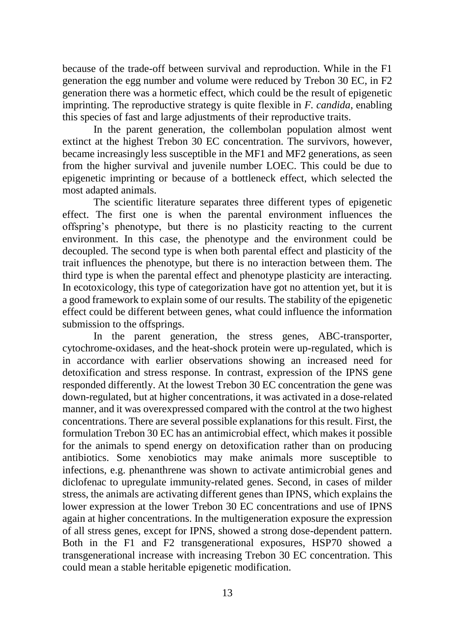because of the trade-off between survival and reproduction. While in the F1 generation the egg number and volume were reduced by Trebon 30 EC, in F2 generation there was a hormetic effect, which could be the result of epigenetic imprinting. The reproductive strategy is quite flexible in *F. candida*, enabling this species of fast and large adjustments of their reproductive traits.

In the parent generation, the collembolan population almost went extinct at the highest Trebon 30 EC concentration. The survivors, however, became increasingly less susceptible in the MF1 and MF2 generations, as seen from the higher survival and juvenile number LOEC. This could be due to epigenetic imprinting or because of a bottleneck effect, which selected the most adapted animals.

The scientific literature separates three different types of epigenetic effect. The first one is when the parental environment influences the offspring's phenotype, but there is no plasticity reacting to the current environment. In this case, the phenotype and the environment could be decoupled. The second type is when both parental effect and plasticity of the trait influences the phenotype, but there is no interaction between them. The third type is when the parental effect and phenotype plasticity are interacting. In ecotoxicology, this type of categorization have got no attention yet, but it is a good framework to explain some of our results. The stability of the epigenetic effect could be different between genes, what could influence the information submission to the offsprings.

In the parent generation, the stress genes, ABC-transporter, cytochrome-oxidases, and the heat-shock protein were up-regulated, which is in accordance with earlier observations showing an increased need for detoxification and stress response. In contrast, expression of the IPNS gene responded differently. At the lowest Trebon 30 EC concentration the gene was down-regulated, but at higher concentrations, it was activated in a dose-related manner, and it was overexpressed compared with the control at the two highest concentrations. There are several possible explanations for this result. First, the formulation Trebon 30 EC has an antimicrobial effect, which makes it possible for the animals to spend energy on detoxification rather than on producing antibiotics. Some xenobiotics may make animals more susceptible to infections, e.g. phenanthrene was shown to activate antimicrobial genes and diclofenac to upregulate immunity-related genes. Second, in cases of milder stress, the animals are activating different genes than IPNS, which explains the lower expression at the lower Trebon 30 EC concentrations and use of IPNS again at higher concentrations. In the multigeneration exposure the expression of all stress genes, except for IPNS, showed a strong dose-dependent pattern. Both in the F1 and F2 transgenerational exposures, HSP70 showed a transgenerational increase with increasing Trebon 30 EC concentration. This could mean a stable heritable epigenetic modification.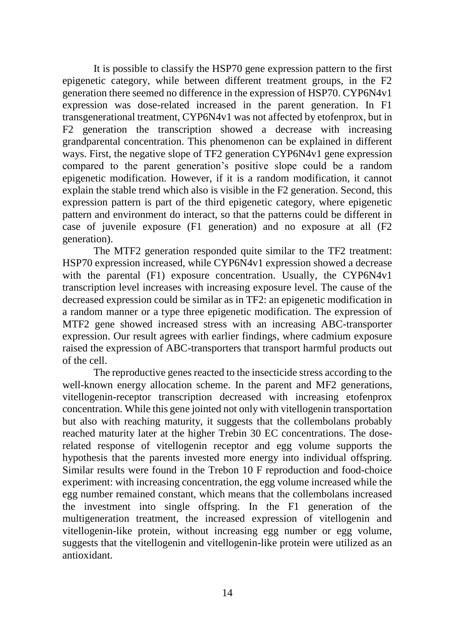It is possible to classify the HSP70 gene expression pattern to the first epigenetic category, while between different treatment groups, in the F2 generation there seemed no difference in the expression of HSP70. CYP6N4v1 expression was dose-related increased in the parent generation. In F1 transgenerational treatment, CYP6N4v1 was not affected by etofenprox, but in F2 generation the transcription showed a decrease with increasing grandparental concentration. This phenomenon can be explained in different ways. First, the negative slope of TF2 generation CYP6N4v1 gene expression compared to the parent generation's positive slope could be a random epigenetic modification. However, if it is a random modification, it cannot explain the stable trend which also is visible in the F2 generation. Second, this expression pattern is part of the third epigenetic category, where epigenetic pattern and environment do interact, so that the patterns could be different in case of juvenile exposure (F1 generation) and no exposure at all (F2 generation).

The MTF2 generation responded quite similar to the TF2 treatment: HSP70 expression increased, while CYP6N4v1 expression showed a decrease with the parental (F1) exposure concentration. Usually, the CYP6N4v1 transcription level increases with increasing exposure level. The cause of the decreased expression could be similar as in TF2: an epigenetic modification in a random manner or a type three epigenetic modification. The expression of MTF2 gene showed increased stress with an increasing ABC-transporter expression. Our result agrees with earlier findings, where cadmium exposure raised the expression of ABC-transporters that transport harmful products out of the cell.

The reproductive genes reacted to the insecticide stress according to the well-known energy allocation scheme. In the parent and MF2 generations, vitellogenin-receptor transcription decreased with increasing etofenprox concentration. While this gene jointed not only with vitellogenin transportation but also with reaching maturity, it suggests that the collembolans probably reached maturity later at the higher Trebin 30 EC concentrations. The doserelated response of vitellogenin receptor and egg volume supports the hypothesis that the parents invested more energy into individual offspring. Similar results were found in the Trebon 10 F reproduction and food-choice experiment: with increasing concentration, the egg volume increased while the egg number remained constant, which means that the collembolans increased the investment into single offspring. In the F1 generation of the multigeneration treatment, the increased expression of vitellogenin and vitellogenin-like protein, without increasing egg number or egg volume, suggests that the vitellogenin and vitellogenin-like protein were utilized as an antioxidant.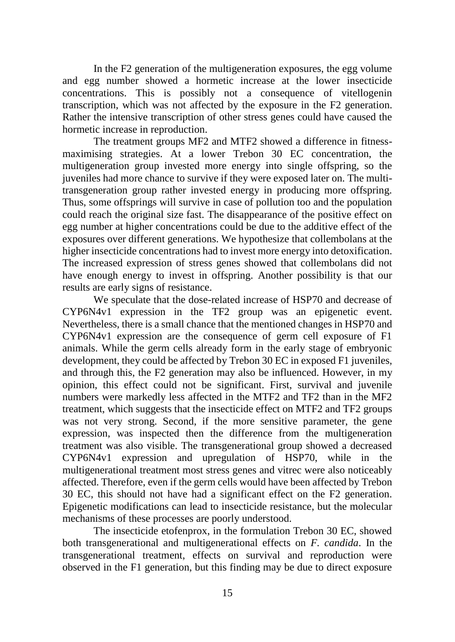In the F2 generation of the multigeneration exposures, the egg volume and egg number showed a hormetic increase at the lower insecticide concentrations. This is possibly not a consequence of vitellogenin transcription, which was not affected by the exposure in the F2 generation. Rather the intensive transcription of other stress genes could have caused the hormetic increase in reproduction.

The treatment groups MF2 and MTF2 showed a difference in fitnessmaximising strategies. At a lower Trebon 30 EC concentration, the multigeneration group invested more energy into single offspring, so the juveniles had more chance to survive if they were exposed later on. The multitransgeneration group rather invested energy in producing more offspring. Thus, some offsprings will survive in case of pollution too and the population could reach the original size fast. The disappearance of the positive effect on egg number at higher concentrations could be due to the additive effect of the exposures over different generations. We hypothesize that collembolans at the higher insecticide concentrations had to invest more energy into detoxification. The increased expression of stress genes showed that collembolans did not have enough energy to invest in offspring. Another possibility is that our results are early signs of resistance.

We speculate that the dose-related increase of HSP70 and decrease of CYP6N4v1 expression in the TF2 group was an epigenetic event. Nevertheless, there is a small chance that the mentioned changes in HSP70 and CYP6N4v1 expression are the consequence of germ cell exposure of F1 animals. While the germ cells already form in the early stage of embryonic development, they could be affected by Trebon 30 EC in exposed F1 juveniles, and through this, the F2 generation may also be influenced. However, in my opinion, this effect could not be significant. First, survival and juvenile numbers were markedly less affected in the MTF2 and TF2 than in the MF2 treatment, which suggests that the insecticide effect on MTF2 and TF2 groups was not very strong. Second, if the more sensitive parameter, the gene expression, was inspected then the difference from the multigeneration treatment was also visible. The transgenerational group showed a decreased CYP6N4v1 expression and upregulation of HSP70, while in the multigenerational treatment most stress genes and vitrec were also noticeably affected. Therefore, even if the germ cells would have been affected by Trebon 30 EC, this should not have had a significant effect on the F2 generation. Epigenetic modifications can lead to insecticide resistance, but the molecular mechanisms of these processes are poorly understood.

The insecticide etofenprox, in the formulation Trebon 30 EC, showed both transgenerational and multigenerational effects on *F. candida*. In the transgenerational treatment, effects on survival and reproduction were observed in the F1 generation, but this finding may be due to direct exposure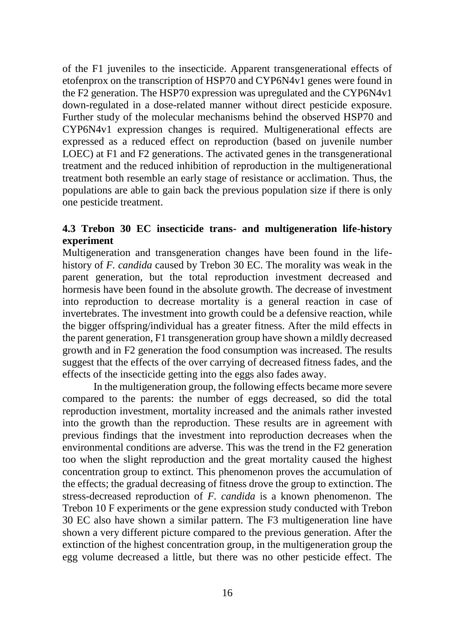of the F1 juveniles to the insecticide. Apparent transgenerational effects of etofenprox on the transcription of HSP70 and CYP6N4v1 genes were found in the F2 generation. The HSP70 expression was upregulated and the CYP6N4v1 down-regulated in a dose-related manner without direct pesticide exposure. Further study of the molecular mechanisms behind the observed HSP70 and CYP6N4v1 expression changes is required. Multigenerational effects are expressed as a reduced effect on reproduction (based on juvenile number LOEC) at F1 and F2 generations. The activated genes in the transgenerational treatment and the reduced inhibition of reproduction in the multigenerational treatment both resemble an early stage of resistance or acclimation. Thus, the populations are able to gain back the previous population size if there is only one pesticide treatment.

# **4.3 Trebon 30 EC insecticide trans- and multigeneration life-history experiment**

Multigeneration and transgeneration changes have been found in the lifehistory of *F. candida* caused by Trebon 30 EC. The morality was weak in the parent generation, but the total reproduction investment decreased and hormesis have been found in the absolute growth. The decrease of investment into reproduction to decrease mortality is a general reaction in case of invertebrates. The investment into growth could be a defensive reaction, while the bigger offspring/individual has a greater fitness. After the mild effects in the parent generation, F1 transgeneration group have shown a mildly decreased growth and in F2 generation the food consumption was increased. The results suggest that the effects of the over carrying of decreased fitness fades, and the effects of the insecticide getting into the eggs also fades away.

In the multigeneration group, the following effects became more severe compared to the parents: the number of eggs decreased, so did the total reproduction investment, mortality increased and the animals rather invested into the growth than the reproduction. These results are in agreement with previous findings that the investment into reproduction decreases when the environmental conditions are adverse. This was the trend in the F2 generation too when the slight reproduction and the great mortality caused the highest concentration group to extinct. This phenomenon proves the accumulation of the effects; the gradual decreasing of fitness drove the group to extinction. The stress-decreased reproduction of *F. candida* is a known phenomenon. The Trebon 10 F experiments or the gene expression study conducted with Trebon 30 EC also have shown a similar pattern. The F3 multigeneration line have shown a very different picture compared to the previous generation. After the extinction of the highest concentration group, in the multigeneration group the egg volume decreased a little, but there was no other pesticide effect. The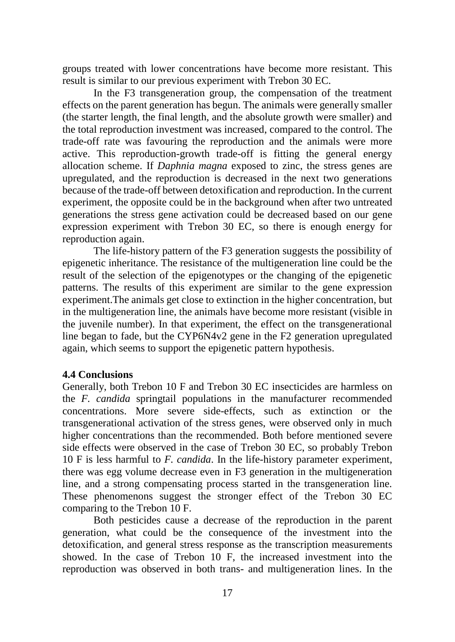groups treated with lower concentrations have become more resistant. This result is similar to our previous experiment with Trebon 30 EC.

In the F3 transgeneration group, the compensation of the treatment effects on the parent generation has begun. The animals were generally smaller (the starter length, the final length, and the absolute growth were smaller) and the total reproduction investment was increased, compared to the control. The trade-off rate was favouring the reproduction and the animals were more active. This reproduction-growth trade-off is fitting the general energy allocation scheme. If *Daphnia magna* exposed to zinc, the stress genes are upregulated, and the reproduction is decreased in the next two generations because of the trade-off between detoxification and reproduction. In the current experiment, the opposite could be in the background when after two untreated generations the stress gene activation could be decreased based on our gene expression experiment with Trebon 30 EC, so there is enough energy for reproduction again.

The life-history pattern of the F3 generation suggests the possibility of epigenetic inheritance. The resistance of the multigeneration line could be the result of the selection of the epigenotypes or the changing of the epigenetic patterns. The results of this experiment are similar to the gene expression experiment.The animals get close to extinction in the higher concentration, but in the multigeneration line, the animals have become more resistant (visible in the juvenile number). In that experiment, the effect on the transgenerational line began to fade, but the CYP6N4v2 gene in the F2 generation upregulated again, which seems to support the epigenetic pattern hypothesis.

## **4.4 Conclusions**

Generally, both Trebon 10 F and Trebon 30 EC insecticides are harmless on the *F. candida* springtail populations in the manufacturer recommended concentrations. More severe side-effects, such as extinction or the transgenerational activation of the stress genes, were observed only in much higher concentrations than the recommended. Both before mentioned severe side effects were observed in the case of Trebon 30 EC, so probably Trebon 10 F is less harmful to *F. candida*. In the life-history parameter experiment, there was egg volume decrease even in F3 generation in the multigeneration line, and a strong compensating process started in the transgeneration line. These phenomenons suggest the stronger effect of the Trebon 30 EC comparing to the Trebon 10 F.

Both pesticides cause a decrease of the reproduction in the parent generation, what could be the consequence of the investment into the detoxification, and general stress response as the transcription measurements showed. In the case of Trebon 10 F, the increased investment into the reproduction was observed in both trans- and multigeneration lines. In the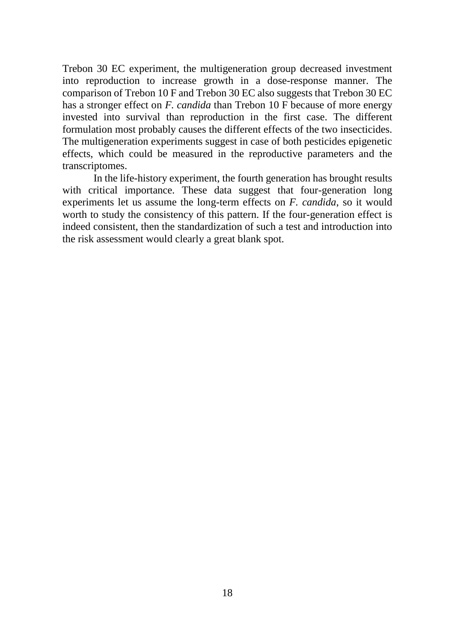Trebon 30 EC experiment, the multigeneration group decreased investment into reproduction to increase growth in a dose-response manner. The comparison of Trebon 10 F and Trebon 30 EC also suggests that Trebon 30 EC has a stronger effect on *F. candida* than Trebon 10 F because of more energy invested into survival than reproduction in the first case. The different formulation most probably causes the different effects of the two insecticides. The multigeneration experiments suggest in case of both pesticides epigenetic effects, which could be measured in the reproductive parameters and the transcriptomes.

In the life-history experiment, the fourth generation has brought results with critical importance. These data suggest that four-generation long experiments let us assume the long-term effects on *F. candida*, so it would worth to study the consistency of this pattern. If the four-generation effect is indeed consistent, then the standardization of such a test and introduction into the risk assessment would clearly a great blank spot.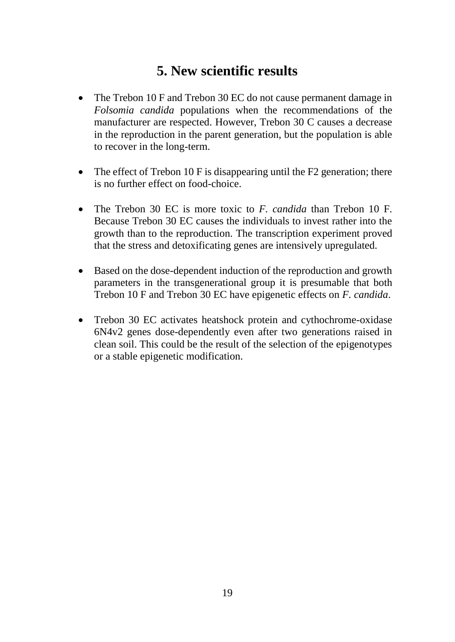# **5. New scientific results**

- The Trebon 10 F and Trebon 30 EC do not cause permanent damage in *Folsomia candida* populations when the recommendations of the manufacturer are respected. However, Trebon 30 C causes a decrease in the reproduction in the parent generation, but the population is able to recover in the long-term.
- The effect of Trebon 10 F is disappearing until the F2 generation; there is no further effect on food-choice.
- The Trebon 30 EC is more toxic to *F. candida* than Trebon 10 F. Because Trebon 30 EC causes the individuals to invest rather into the growth than to the reproduction. The transcription experiment proved that the stress and detoxificating genes are intensively upregulated.
- Based on the dose-dependent induction of the reproduction and growth parameters in the transgenerational group it is presumable that both Trebon 10 F and Trebon 30 EC have epigenetic effects on *F. candida*.
- Trebon 30 EC activates heatshock protein and cythochrome-oxidase 6N4v2 genes dose-dependently even after two generations raised in clean soil. This could be the result of the selection of the epigenotypes or a stable epigenetic modification.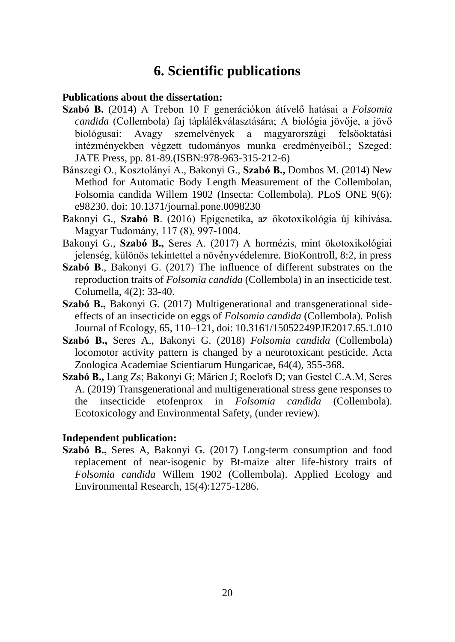# **6. Scientific publications**

## **Publications about the dissertation:**

- **Szabó B.** (2014) A Trebon 10 F generációkon átívelő hatásai a *Folsomia candida* (Collembola) faj táplálékválasztására; A biológia jövője, a jövő biológusai: Avagy szemelvények a magyarországi felsőoktatási intézményekben végzett tudományos munka eredményeiből.; Szeged: JATE Press, pp. 81-89.(ISBN[:978-963-315-212-6\)](http://www.isbnsearch.org/isbn/9789633152126)
- Bánszegi O., Kosztolányi A., Bakonyi G., **Szabó B.,** Dombos M. (2014) New Method for Automatic Body Length Measurement of the Collembolan, Folsomia candida Willem 1902 (Insecta: Collembola). PLoS ONE 9(6): e98230. doi: 10.1371/journal.pone.0098230
- Bakonyi G., **Szabó B**. (2016) Epigenetika, az ökotoxikológia új kihívása. Magyar Tudomány, 117 (8), 997-1004.
- Bakonyi G., **Szabó B.,** Seres A. (2017) A hormézis, mint ökotoxikológiai jelenség, különös tekintettel a növényvédelemre. BioKontroll, 8:2, in press
- **Szabó B**., Bakonyi G. (2017) The influence of different substrates on the reproduction traits of *Folsomia candida* (Collembola) in an insecticide test. Columella, 4(2): 33-40.
- **Szabó B.,** Bakonyi G. (2017) Multigenerational and transgenerational sideeffects of an insecticide on eggs of *Folsomia candida* (Collembola). Polish Journal of Ecology, 65, 110–121, doi: 10.3161/15052249PJE2017.65.1.010
- **Szabó B.,** Seres A., Bakonyi G. (2018) *Folsomia candida* (Collembola) locomotor activity pattern is changed by a neurotoxicant pesticide. Acta Zoologica Academiae Scientiarum Hungaricae, 64(4), 355-368.
- **Szabó B.,** Lang Zs; Bakonyi G; Märien J; Roelofs D; van Gestel C.A.M, Seres A. (2019) Transgenerational and multigenerational stress gene responses to the insecticide etofenprox in *Folsomia candida* (Collembola). Ecotoxicology and Environmental Safety, (under review).

#### **Independent publication:**

**Szabó B.,** Seres A, Bakonyi G. (2017) Long-term consumption and food replacement of near-isogenic by Bt-maize alter life-history traits of *Folsomia candida* Willem 1902 (Collembola). Applied Ecology and Environmental Research, 15(4):1275-1286.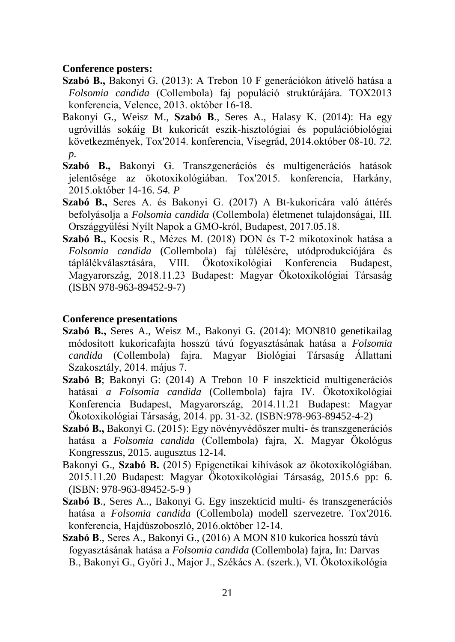#### **Conference posters:**

- **Szabó B.,** Bakonyi G. (2013): A Trebon 10 F generációkon átívelő hatása a *Folsomia candida* (Collembola) faj populáció struktúrájára. TOX2013 konferencia, Velence, 2013. október 16-18.
- Bakonyi G., Weisz M., **Szabó B**., Seres A., Halasy K. (2014): Ha egy ugróvillás sokáig Bt kukoricát eszik-hisztológiai és populációbiológiai következmények, Tox'2014. konferencia, Visegrád, 2014.október 08-10. *72. p.*
- **Szabó B.,** Bakonyi G. Transzgenerációs és multigenerációs hatások jelentősége az ökotoxikológiában. Tox'2015. konferencia, Harkány, 2015.október 14-16. *54. P*
- **Szabó B.,** Seres A. és Bakonyi G. (2017) A Bt-kukoricára való áttérés befolyásolja a *Folsomia candida* (Collembola) életmenet tulajdonságai, III. Országgyűlési Nyílt Napok a GMO-król, Budapest, 2017.05.18.
- **Szabó B.,** Kocsis R., Mézes M. (2018) DON és T-2 mikotoxinok hatása a *Folsomia candida* (Collembola) faj túlélésére, utódprodukciójára és táplálékválasztására, VIII. Ökotoxikológiai Konferencia Budapest, Magyarország, 2018.11.23 Budapest: Magyar Ökotoxikológiai Társaság (ISBN 978-963-89452-9-7)

#### **Conference presentations**

- **Szabó B.,** Seres A., Weisz M., Bakonyi G. (2014): MON810 genetikailag módosított kukoricafajta hosszú távú fogyasztásának hatása a *Folsomia candida* (Collembola) fajra. Magyar Biológiai Társaság Állattani Szakosztály, 2014. május 7.
- **Szabó B**; Bakonyi G: (2014) A Trebon 10 F inszekticid multigenerációs hatásai *a Folsomia candida* (Collembola) fajra IV. Ökotoxikológiai Konferencia Budapest, Magyarország, 2014.11.21 Budapest: Magyar Ökotoxikológiai Társaság, 2014. pp. 31-32. (ISBN:978-963-89452-4-2)
- **Szabó B.,** Bakonyi G. (2015): Egy növényvédőszer multi- és transzgenerációs hatása a *Folsomia candida* (Collembola) fajra, X. Magyar Ökológus Kongresszus, 2015. augusztus 12-14.
- Bakonyi G., **Szabó B.** (2015) Epigenetikai kihívások az ökotoxikológiában. 2015.11.20 Budapest: Magyar Ökotoxikológiai Társaság, 2015.6 pp: 6. (ISBN: 978-963-89452-5-9 )
- **Szabó B**., Seres A.., Bakonyi G. Egy inszekticid multi- és transzgenerációs hatása a *Folsomia candida* (Collembola) modell szervezetre. Tox'2016. konferencia, Hajdúszoboszló, 2016.október 12-14.
- **Szabó B**., Seres A., Bakonyi G., (2016) A MON 810 kukorica hosszú távú fogyasztásának hatása a *Folsomia candida* (Collembola) fajra, In: Darvas B., Bakonyi G., Győri J., Major J., Székács A. (szerk.), VI. Ökotoxikológia